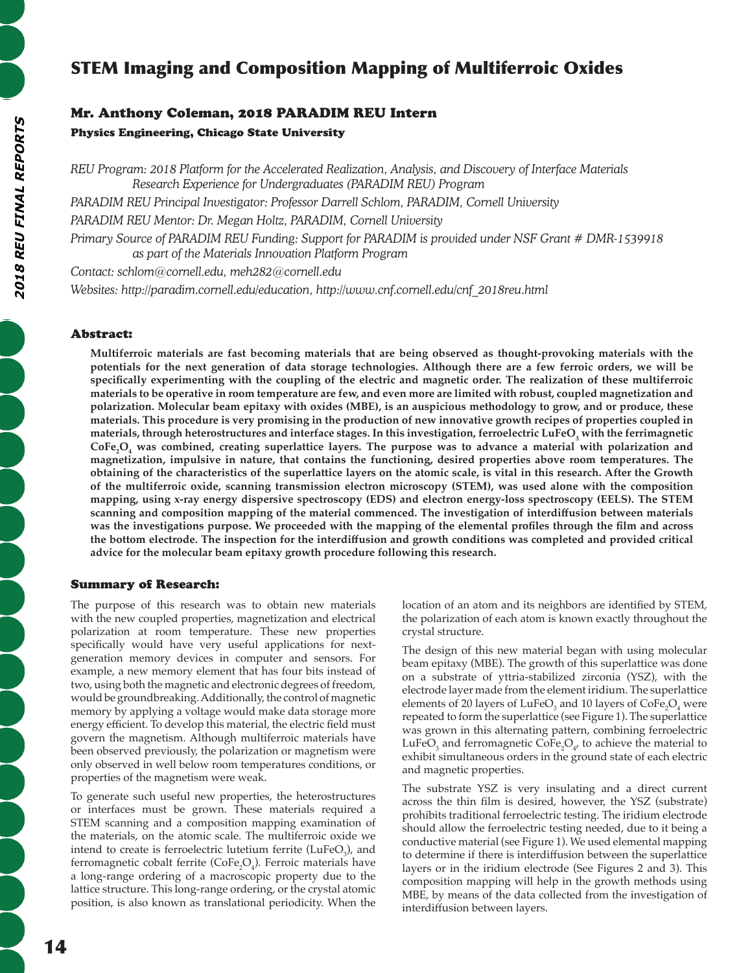# STEM Imaging and Composition Mapping of Multiferroic Oxides

# Mr. Anthony Coleman, 2018 PARADIM REU Intern Physics Engineering, Chicago State University

*REU Program: 2018 Platform for the Accelerated Realization, Analysis, and Discovery of Interface Materials Research Experience for Undergraduates (PARADIM REU) Program*

*PARADIM REU Principal Investigator: Professor Darrell Schlom, PARADIM, Cornell University*

*PARADIM REU Mentor: Dr. Megan Holtz, PARADIM, Cornell University*

*Primary Source of PARADIM REU Funding: Support for PARADIM is provided under NSF Grant # DMR-1539918 as part of the Materials Innovation Platform Program*

*Contact: schlom@cornell.edu, meh282@cornell.edu*

*Websites: http://paradim.cornell.edu/education, http://www.cnf.cornell.edu/cnf\_2018reu.html*

#### Abstract:

**Multiferroic materials are fast becoming materials that are being observed as thought-provoking materials with the potentials for the next generation of data storage technologies. Although there are a few ferroic orders, we will be specifically experimenting with the coupling of the electric and magnetic order. The realization of these multiferroic materials to be operative in room temperature are few, and even more are limited with robust, coupled magnetization and polarization. Molecular beam epitaxy with oxides (MBE), is an auspicious methodology to grow, and or produce, these materials. This procedure is very promising in the production of new innovative growth recipes of properties coupled in materials, through heterostructures and interface stages. In this investigation, ferroelectric LuFeO<sup>3</sup> with the ferrimagnetic**   $\text{CoFe}_2\text{O}_4$  was combined, creating superlattice layers. The purpose was to advance a material with polarization and **magnetization, impulsive in nature, that contains the functioning, desired properties above room temperatures. The obtaining of the characteristics of the superlattice layers on the atomic scale, is vital in this research. After the Growth of the multiferroic oxide, scanning transmission electron microscopy (STEM), was used alone with the composition mapping, using x-ray energy dispersive spectroscopy (EDS) and electron energy-loss spectroscopy (EELS). The STEM scanning and composition mapping of the material commenced. The investigation of interdiffusion between materials was the investigations purpose. We proceeded with the mapping of the elemental profiles through the film and across the bottom electrode. The inspection for the interdiffusion and growth conditions was completed and provided critical advice for the molecular beam epitaxy growth procedure following this research.**

#### Summary of Research:

The purpose of this research was to obtain new materials with the new coupled properties, magnetization and electrical polarization at room temperature. These new properties specifically would have very useful applications for nextgeneration memory devices in computer and sensors. For example, a new memory element that has four bits instead of two, using both the magnetic and electronic degrees of freedom, would be groundbreaking. Additionally, the control of magnetic memory by applying a voltage would make data storage more energy efficient. To develop this material, the electric field must govern the magnetism. Although multiferroic materials have been observed previously, the polarization or magnetism were only observed in well below room temperatures conditions, or properties of the magnetism were weak.

To generate such useful new properties, the heterostructures or interfaces must be grown. These materials required a STEM scanning and a composition mapping examination of the materials, on the atomic scale. The multiferroic oxide we intend to create is ferroelectric lutetium ferrite  $(LuFeO<sub>3</sub>)$ , and ferromagnetic cobalt ferrite ( $\text{CoFe}_2\text{O}_4$ ). Ferroic materials have a long-range ordering of a macroscopic property due to the lattice structure. This long-range ordering, or the crystal atomic position, is also known as translational periodicity. When the

location of an atom and its neighbors are identified by STEM, the polarization of each atom is known exactly throughout the crystal structure.

The design of this new material began with using molecular beam epitaxy (MBE). The growth of this superlattice was done on a substrate of yttria-stabilized zirconia (YSZ), with the electrode layer made from the element iridium. The superlattice elements of 20 layers of  $\text{LuFeO}_3$  and 10 layers of  $\text{CoFe}_2\text{O}_4$  were repeated to form the superlattice (see Figure 1). The superlattice was grown in this alternating pattern, combining ferroelectric LuFeO<sub>3</sub> and ferromagnetic CoFe<sub>2</sub>O<sub>4</sub>, to achieve the material to exhibit simultaneous orders in the ground state of each electric and magnetic properties.

The substrate YSZ is very insulating and a direct current across the thin film is desired, however, the YSZ (substrate) prohibits traditional ferroelectric testing. The iridium electrode should allow the ferroelectric testing needed, due to it being a conductive material (see Figure 1). We used elemental mapping to determine if there is interdiffusion between the superlattice layers or in the iridium electrode (See Figures 2 and 3). This composition mapping will help in the growth methods using MBE, by means of the data collected from the investigation of interdiffusion between layers.